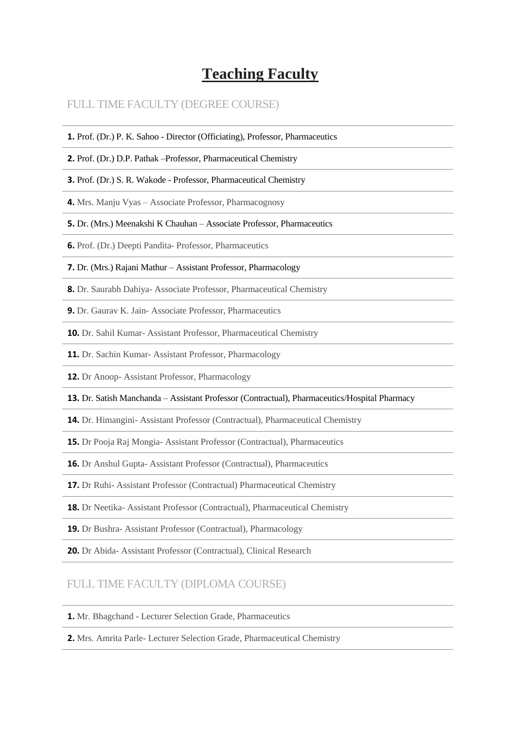## **Teaching Faculty**

## FULL TIME FACULTY (DEGREE COURSE)

- **1.** Prof. (Dr.) P. K. Sahoo [Director \(Officiating\), Professor, Pharmaceutics](http://www.dipsar.ac.in/cvs/Dr.%20P.K.%20Sahoo.pdf)
- **2.** [Prof. \(Dr.\) D.P. Pathak –Professor, Pharmaceutical Chemistry](http://www.dipsar.ac.in/cvs/Dr.%20D.P.P.%20RESUME%20june17.pdf)
- **3.** Prof. (Dr.) S. R. Wakode [Professor, Pharmaceutical Chemistry](http://www.dipsar.ac.in/cvs/Dr_Wakode.pdf)
- **4.** Mrs. Manju Vyas Associate Professor, Pharmacognosy
- **5.** [Dr. \(Mrs.\) Meenakshi K Chauhan –](http://www.dipsar.ac.in/cvs/MKC-CV_Website.pdf) Associate Professor, Pharmaceutics
- **6.** Prof. (Dr.) Deepti Pandita- Professor, Pharmaceutics
- **7.** Dr. (Mrs.) Rajani Mathur [Assistant Professor, Pharmacology](http://www.dipsar.ac.in/cvs/Rajani%20Mathur.pdf)
- **8.** Dr. Saurabh Dahiya- Associate Professor, Pharmaceutical Chemistry
- **9.** Dr. Gaurav K. Jain- Associate Professor, Pharmaceutics
- **10.** Dr. Sahil Kumar- Assistant Professor, Pharmaceutical Chemistry
- **11.** Dr. Sachin Kumar- Assistant Professor, Pharmacology
- **12.** Dr Anoop- Assistant Professor, Pharmacology
- **13.** Dr. Satish Manchanda [Assistant Professor \(Contractual\), Pharmaceutics/Hospital Pharmacy](http://www.dipsar.ac.in/cvs/SATISH%20MANCHANDA.pdf)
- **14.** Dr. Himangini- Assistant Professor (Contractual), Pharmaceutical Chemistry
- **15.** Dr Pooja Raj Mongia- Assistant Professor (Contractual), Pharmaceutics
- **16.** Dr Anshul Gupta- Assistant Professor (Contractual), Pharmaceutics
- **17.** Dr Ruhi- Assistant Professor (Contractual) Pharmaceutical Chemistry
- **18.** Dr Neetika- Assistant Professor (Contractual), Pharmaceutical Chemistry
- **19.** Dr Bushra- Assistant Professor (Contractual), Pharmacology
- **20.** Dr Abida- Assistant Professor (Contractual), Clinical Research

## FULL TIME FACULTY (DIPLOMA COURSE)

- **1.** Mr. Bhagchand Lecturer Selection Grade, Pharmaceutics
- **2.** Mrs. Amrita Parle- Lecturer Selection Grade, Pharmaceutical Chemistry